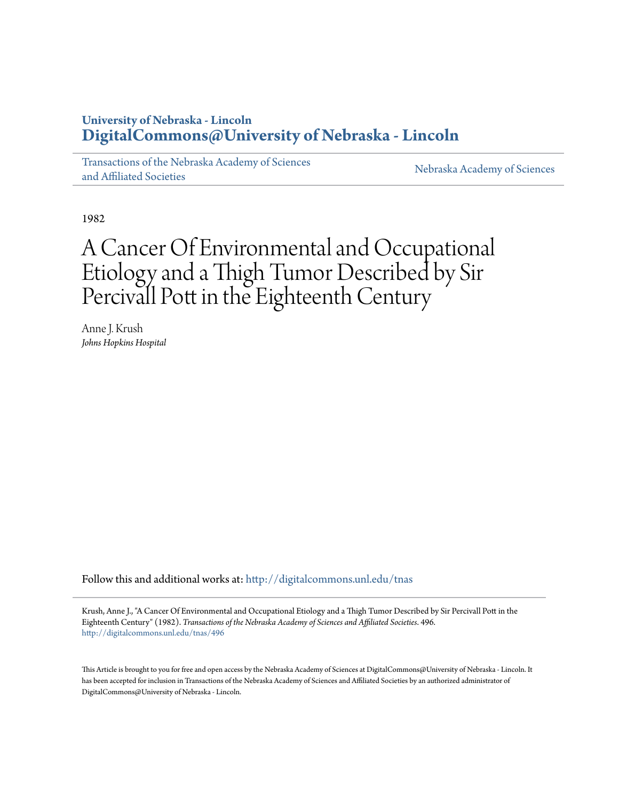### **University of Nebraska - Lincoln [DigitalCommons@University of Nebraska - Lincoln](http://digitalcommons.unl.edu?utm_source=digitalcommons.unl.edu%2Ftnas%2F496&utm_medium=PDF&utm_campaign=PDFCoverPages)**

[Transactions of the Nebraska Academy of Sciences](http://digitalcommons.unl.edu/tnas?utm_source=digitalcommons.unl.edu%2Ftnas%2F496&utm_medium=PDF&utm_campaign=PDFCoverPages) [and Affiliated Societies](http://digitalcommons.unl.edu/tnas?utm_source=digitalcommons.unl.edu%2Ftnas%2F496&utm_medium=PDF&utm_campaign=PDFCoverPages)

[Nebraska Academy of Sciences](http://digitalcommons.unl.edu/nebacadsci?utm_source=digitalcommons.unl.edu%2Ftnas%2F496&utm_medium=PDF&utm_campaign=PDFCoverPages)

1982

# A Cancer Of Environmental and Occupational Etiology and a Thigh Tumor Described by Sir Percivall Pott in the Eighteenth Century

Anne J. Krush *Johns Hopkins Hospital*

Follow this and additional works at: [http://digitalcommons.unl.edu/tnas](http://digitalcommons.unl.edu/tnas?utm_source=digitalcommons.unl.edu%2Ftnas%2F496&utm_medium=PDF&utm_campaign=PDFCoverPages)

Krush, Anne J., "A Cancer Of Environmental and Occupational Etiology and a Thigh Tumor Described by Sir Percivall Pott in the Eighteenth Century" (1982). *Transactions of the Nebraska Academy of Sciences and Affiliated Societies*. 496. [http://digitalcommons.unl.edu/tnas/496](http://digitalcommons.unl.edu/tnas/496?utm_source=digitalcommons.unl.edu%2Ftnas%2F496&utm_medium=PDF&utm_campaign=PDFCoverPages)

This Article is brought to you for free and open access by the Nebraska Academy of Sciences at DigitalCommons@University of Nebraska - Lincoln. It has been accepted for inclusion in Transactions of the Nebraska Academy of Sciences and Affiliated Societies by an authorized administrator of DigitalCommons@University of Nebraska - Lincoln.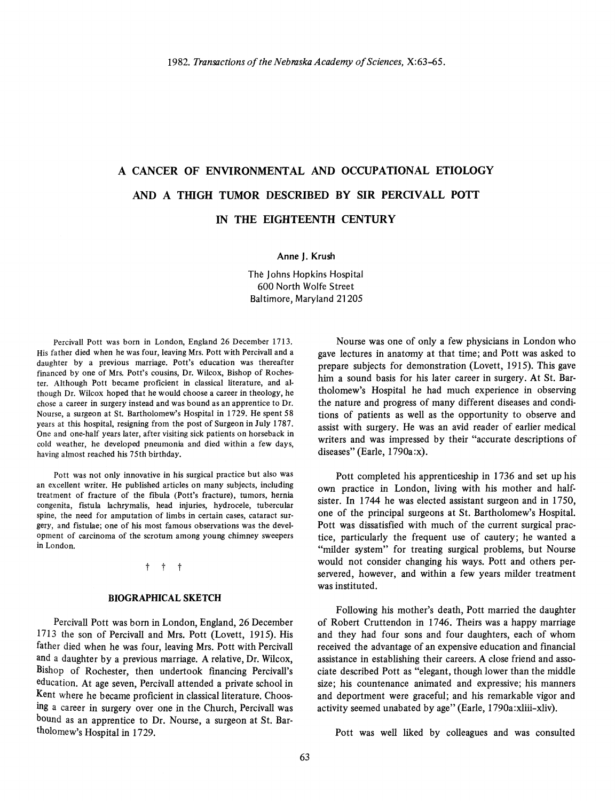## A CANCER OF ENVIRONMENTAL AND OCCUPATIONAL ETIOLOGY AND A THIGH TUMOR DESCRIBED BY SIR PERCIVALL POTT IN THE EIGHTEENTH CENTURY

#### Anne J. Krush

The Johns Hopkins Hospital 600 North Wolfe Street Baltimore, Maryland 21205

Percivall Pott was born in London, England 26 December 1713. His father died when he was four, leaving Mrs. Pott with Percivall and a daughter by a previous marriage. Pott's education was thereafter financed by one of Mrs. Pott's cousins, Dr. Wilcox, Bishop of Rochester. Although Pott became proficient in classical literature, and although Dr. Wilcox hoped that he would choose a career in theology, he chose a career in surgery instead and was bound as an apprentice to Dr. Nourse, a surgeon at St. Bartholomew's Hospital in 1729. He spent 58 years at this hospital, resigning from the post of Surgeon in July 1787. One and one-half years later, after visiting sick patients on horseback in cold weather, he developed pneumonia and died within a few days, having almost reached his 75th birthday.

Pott was not only innovative in his surgical practice but also was an excellent writer. He published articles on many subjects, including treatment of fracture of the fibula (Pott's fracture), tumors, hernia congenita, fistula Iachrymalis, head injuries, hydrocele, tubercular spine, the need for amputation of limbs in certain cases, cataract surgery, and fistulae; one of his most famous observations was the development of carcinoma of the scrotum among young chimney sweepers in London.

#### t t t

#### BIOGRAPHICAL SKETCH

Percivall Pott was born in London, England, 26 December 1713 the son of Percivall and Mrs. Pott (Lovett, 1915). His father died when he was four, leaving Mrs. Pott with Percivall and a daughter by a previous marriage. A relative, Dr. Wilcox, Bishop of Rochester, then undertook financing Percivall's education. At age seven, Percivall attended a private school in Kent where he became proficient in classical literature. Choosing a career in surgery over one in the Church, Percivall was bound as an apprentice to Dr. Nourse, a surgeon at St. Bartholomew's Hospital in 1729.

Nourse was one of only a few physicians in London who gave lectures in anatomy at that time; and Pott was asked to prepare subjects for demonstration (Lovett, 1915). This gave him a sound basis for his later career in surgery. At St. Bartholomew's Hospital he had much experience in observing the nature and progress of many different diseases and conditions of patients as well as the opportunity to observe and assist with surgery. He was an avid reader of earlier medical writers and was impressed by their "accurate descriptions of diseases" (Earle, 1790a:x).

Pott completed his apprenticeship in 1736 and set up his own practice in London, living with his mother and halfsister. In 1744 he was elected assistant surgeon and in 1750, one of the principal surgeons at St. Bartholomew's Hospital. Pott was dissatisfied with much of the current surgical practice, particularly the frequent use of cautery; he wanted a "milder system" for treating surgical problems, but Nourse would not consider changing his ways. Pott and others perservered, however, and within a few years milder treatment was instituted.

Following his mother's death, Pott married the daughter of Robert Cruttendon in 1746. Theirs was a happy marriage and they had four sons and four daughters, each of whom received the advantage of an expensive education and financial assistance in establishing their careers. A close friend and associate described Pott as "elegant, though lower than the middle size; his countenance animated and expressive; his manners and deportment were graceful; and his remarkable vigor and activity seemed unabated by age" (Earle, 1790a:xliii-xliv).

Pott was well liked by colleagues and was consulted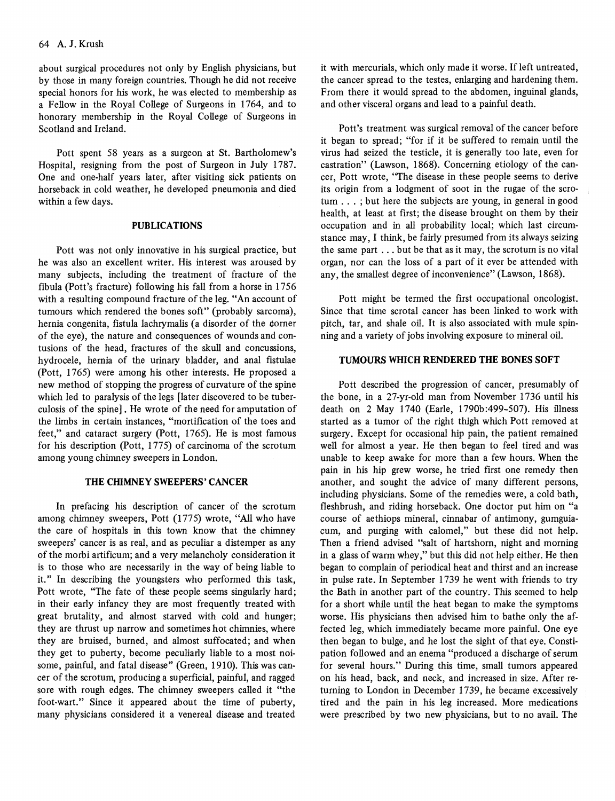about surgical procedures not only by English physicians, but by those in many foreign countries. Though he did not receive special honors for his work, he was elected to membership as a Fellow in the Royal College of Surgeons in 1764, and to honorary membership in the Royal College of Surgeons in Scotland and Ireland.

Pott spent 58 years as a surgeon at St. Bartholomew's Hospital, resigning from the post of Surgeon in July 1787. One and one-half years later, after visiting sick patients on horseback in cold weather, he developed pneumonia and died within a few days.

#### **PUBLICATIONS**

Pott was not only innovative in his surgical practice, but he was also an excellent writer. His interest was aroused by many subjects, including the treatment of fracture of the fibula (Pott's fracture) following his fall from a horse in 1756 with a resulting compound fracture of the leg. "An account of tumours which rendered the bones soft" (probably sarcoma), hernia congenita, fistula lachrymalis (a disorder of the corner of the eye), the nature and consequences of wounds and contusions of the head, fractures of the skull and concussions, hydrocele, hernia of the urinary bladder, and anal fistulae (Pott, 1765) were among his other interests. He proposed a new method of stopping the progress of curvature of the spine which led to paralysis of the legs [later discovered to be tuberculosis of the spine] . He wrote of the need for amputation of the limbs in certain instances, "mortification of the toes and feet," and cataract surgery (Pott, 1765). He is most famous for his description (Pott, 1775) of carcinoma of the scrotum among young chimney sweepers in London.

#### **THE CIflMNEY SWEEPERS' CANCER**

In prefacing his description of cancer of the scrotum among chimney sweepers, Pott (1775) wrote, "All who have the care of hospitals in this town know that the chimney sweepers' cancer is as real, and as peculiar a distemper as any of the morbi artificum; and a very melancholy consideration it is to those who are necessarily in the way of being liable to it." In describing the youngsters who performed this task, Pott wrote, "The fate of these people seems singularly hard; in their early infancy they are most frequently treated with great brutality, and almost starved with cold and hunger; they are thrust up narrow and sometimes hot chimnies, where they are bruised, burned, and almost suffocated; and when they get to puberty, become peculiarly liable to a most noisome, painful, and fatal disease" (Green, 1910). This was cancer of the scrotum, producing a superficial, painful, and ragged sore with rough edges. The chimney sweepers called it "the foot-wart." Since it appeared about the time of puberty, many physicians considered it a venereal disease and treated

it with mercurials, which only made it worse. If left untreated, the cancer spread to the testes, enlarging and hardening them. From there it would spread to the abdomen, inguinal glands, and other visceral organs and lead to a painful death.

Pott's treatment was surgical removal of the cancer before it began to spread; "for if it be suffered to remain until the virus had seized the testicle, it is generally too late, even for castration" (Lawson, 1868). Concerning etiology of the cancer, Pott wrote, "The disease in these people seems to derive its origin from a lodgment of soot in the rugae of the scrotum ... ; but here the subjects are young, in general in good health, at least at first; the disease brought on them by their occupation and in all probability local; which last circumstance may, I think, be fairly presumed from its always seizing the same part ... but be that as it may, the scrotum is no vital organ, nor can the loss of a part of it ever be attended with any, the smallest degree of inconvenience" (Lawson, 1868).

Pott might be termed the first occupational oncologist. Since that time scrotal cancer has been linked to work with pitch, tar, and shale oil. It is also associated with mule spinning and a variety of jobs involving exposure to mineral oil.

#### **TUMOURS WHICH RENDERED THE BONES SOFT**

Pott described the progression of cancer, presumably of the bone, in a 27-yr-old man from November 1736 until his death on 2 May 1740 (Earle, 1790b:499-507). His illness started as a tumor of the right thigh which Pott removed at surgery. Except for occasional hip pain, the patient remained well for almost a year. He then began to feel tired and was unable to keep awake for more than a few hours. When the pain in his hip grew worse, he tried first one remedy then another, and sought the advice of many different persons, including physicians. Some of the remedies were, a cold bath, fleshbrush, and riding horseback. One doctor put him on "a course of aethiops mineral, cinnabar of antimony, gumguiacum, and purging with calomel," but these did not help. Then a friend advised "salt of hartshorn, night and morning in a glass of warm whey," but this did not help either. He then began to complain of periodical heat and thirst and an increase in pulse rate. In September 1739 he went with friends to try the Bath in another part of the country. This seemed to help for a short while until the heat began to make the symptoms worse. His physicians then advised him to bathe only the affected leg, which immediately became more painful. One eye then began to bulge, and he lost the sight of that eye. Constipation followed and an enema "produced a discharge of serum for several hours." During this time, small tumors appeared on his head, back, and neck, and increased in size. After returning to London in December 1739, he became excessively tired and the pain in his leg increased. More medications were prescribed by two new physicians, but to no avail. The